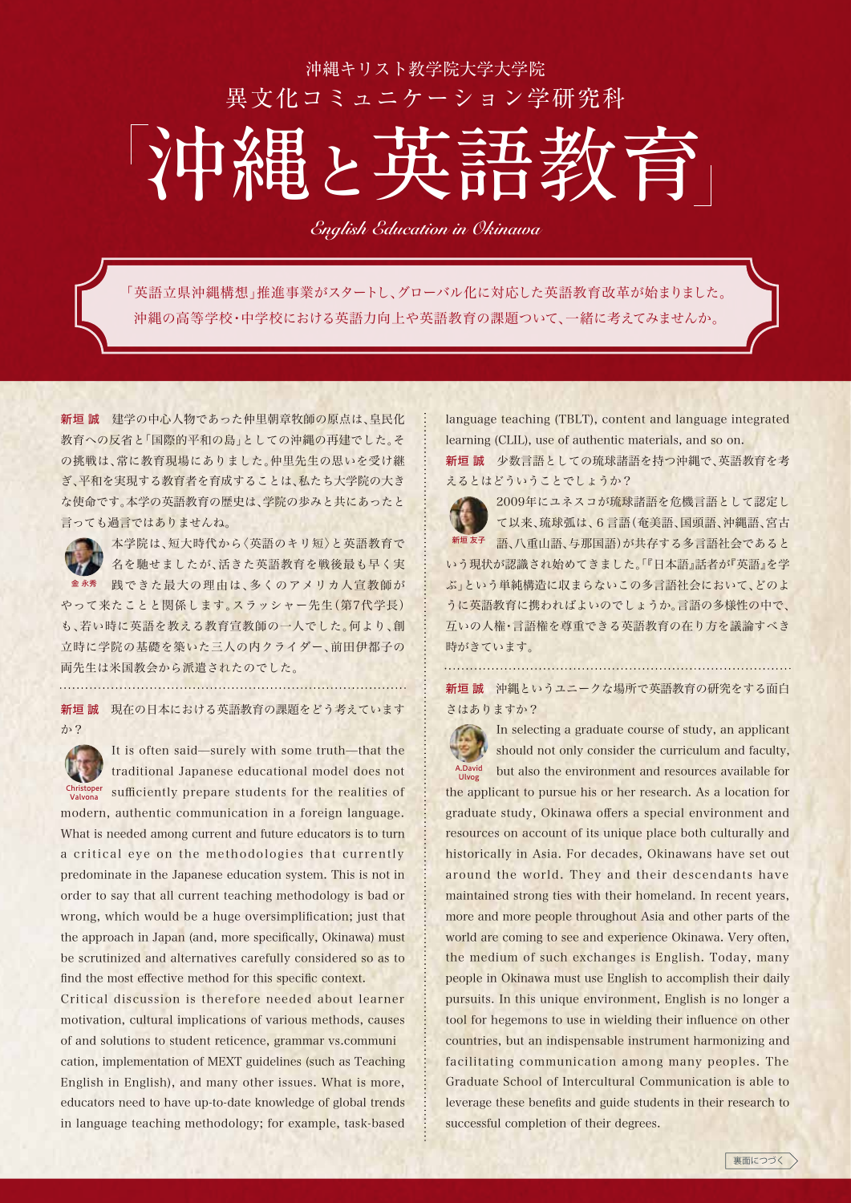## 沖縄キリスト教学院大学大学院 異文化コミュニケーション学研究科

## **沖縄**と**英語教育**

*English Education in Okinawa*

「英語立県沖縄構想」推進事業がスタートし、グローバル化に対応した英語教育改革が始まりました。 沖縄の高等学校・中学校における英語力向上や英語教育の課題ついて、一緒に考えてみませんか。

新垣 誠 建学の中心人物であった仲里朝章牧師の原点は、皇民化 教育への反省と「国際的平和の島」としての沖縄の再建でした。そ の挑戦は、常に教育現場にありました。仲里先生の思いを受け継 ぎ、平和を実現する教育者を育成することは、私たち大学院の大き な使命です。本学の英語教育の歴史は、学院の歩みと共にあったと 言っても過言ではありませんね。



本学院は、短大時代から〈英語のキリ短〉と英語教育で 名を馳せましたが、活きた英語教育を戦後最も早く実 金永秀 践できた最大の理由は、多くのアメリカ人宣教師が やって来たことと関係します。スラッシャー先生(第7代学長) も、若い時に英語を教える教育宣教師の一人でした。何より、創 立時に学院の基礎を築いた三人の内クライダー、前田伊都子の

両先生は米国教会から派遣されたのでした。

新垣 誠 現在の日本における英語教育の課題をどう考えています

か?

It is often said—surely with some truth—that the

traditional Japanese educational model does not Christoper sufficiently prepare students for the realities of modern, authentic communication in a foreign language. What is needed among current and future educators is to turn a critical eye on the methodologies that currently predominate in the Japanese education system. This is not in order to say that all current teaching methodology is bad or wrong, which would be a huge oversimplification; just that the approach in Japan (and, more specifically, Okinawa) must be scrutinized and alternatives carefully considered so as to find the most effective method for this specific context.

Critical discussion is therefore needed about learner motivation, cultural implications of various methods, causes of and solutions to student reticence, grammar vs.communi cation, implementation of MEXT guidelines (such as Teaching English in English), and many other issues. What is more, educators need to have up-to-date knowledge of global trends in language teaching methodology; for example, task-based language teaching (TBLT), content and language integrated learning (CLIL), use of authentic materials, and so on.

新垣 誠 少数言語としての琉球諸語を持つ沖縄で、英語教育を考 えるとはどういうことでしょうか?



2009年にユネスコが琉球諸語を危機言語として認定し て以来、琉球弧は、6言語(奄美語、国頭語、沖縄語、宮古 <sup>新垣友子</sup> 語、八重山語、与那国語)が共存する多言語社会であると いう現状が認識され始めてきました。「『日本語』話者が『英語』を学 ぶ」という単純構造に収まらないこの多言語社会において、どのよ うに英語教育に携わればよいのでしょうか。言語の多様性の中で、 互いの人権・言語権を尊重できる英語教育の在り方を議論すべき

新垣 誠 沖縄というユニークな場所で英語教育の研究をする面白 さはありますか?



時がきています。

In selecting a graduate course of study, an applicant should not only consider the curriculum and faculty, but also the environment and resources available for the applicant to pursue his or her research. As a location for

graduate study, Okinawa offers a special environment and resources on account of its unique place both culturally and historically in Asia. For decades, Okinawans have set out around the world. They and their descendants have maintained strong ties with their homeland. In recent years, more and more people throughout Asia and other parts of the world are coming to see and experience Okinawa. Very often, the medium of such exchanges is English. Today, many people in Okinawa must use English to accomplish their daily pursuits. In this unique environment, English is no longer a tool for hegemons to use in wielding their influence on other countries, but an indispensable instrument harmonizing and facilitating communication among many peoples. The Graduate School of Intercultural Communication is able to leverage these benefits and guide students in their research to successful completion of their degrees.